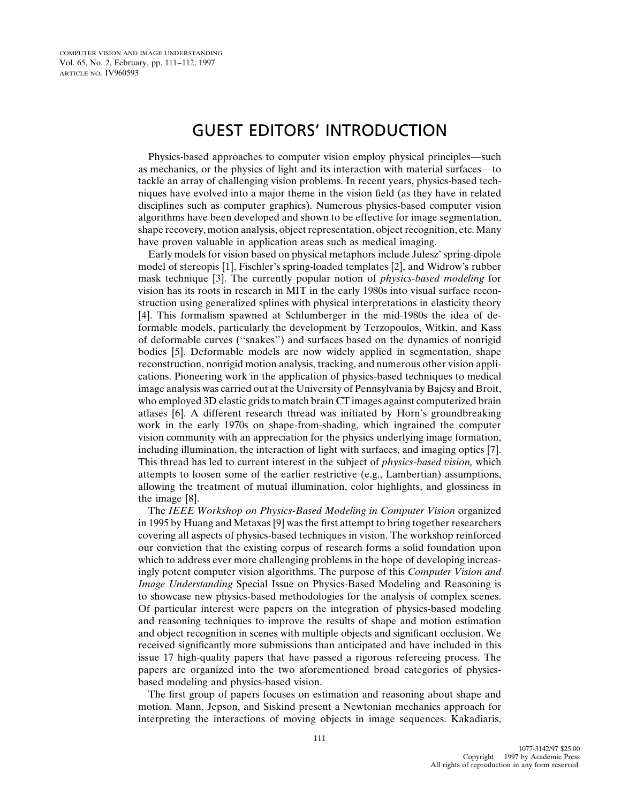## GUEST EDITORS' INTRODUCTION

Physics-based approaches to computer vision employ physical principles—such as mechanics, or the physics of light and its interaction with material surfaces—to tackle an array of challenging vision problems. In recent years, physics-based techniques have evolved into a major theme in the vision field (as they have in related disciplines such as computer graphics). Numerous physics-based computer vision algorithms have been developed and shown to be effective for image segmentation, shape recovery, motion analysis, object representation, object recognition, etc. Many have proven valuable in application areas such as medical imaging.

Early models for vision based on physical metaphors include Julesz' spring-dipole model of stereopis [1], Fischler's spring-loaded templates [2], and Widrow's rubber mask technique [3]. The currently popular notion of *physics-based modeling* for vision has its roots in research in MIT in the early 1980s into visual surface reconstruction using generalized splines with physical interpretations in elasticity theory [4]. This formalism spawned at Schlumberger in the mid-1980s the idea of deformable models, particularly the development by Terzopoulos, Witkin, and Kass of deformable curves (''snakes'') and surfaces based on the dynamics of nonrigid bodies [5]. Deformable models are now widely applied in segmentation, shape reconstruction, nonrigid motion analysis, tracking, and numerous other vision applications. Pioneering work in the application of physics-based techniques to medical image analysis was carried out at the University of Pennsylvania by Bajcsy and Broit, who employed 3D elastic grids to match brain CT images against computerized brain atlases [6]. A different research thread was initiated by Horn's groundbreaking work in the early 1970s on shape-from-shading, which ingrained the computer vision community with an appreciation for the physics underlying image formation, including illumination, the interaction of light with surfaces, and imaging optics [7]. This thread has led to current interest in the subject of *physics-based vision,* which attempts to loosen some of the earlier restrictive (e.g., Lambertian) assumptions, allowing the treatment of mutual illumination, color highlights, and glossiness in the image [8].

The *IEEE Workshop on Physics-Based Modeling in Computer Vision* organized in 1995 by Huang and Metaxas [9] was the first attempt to bring together researchers covering all aspects of physics-based techniques in vision. The workshop reinforced our conviction that the existing corpus of research forms a solid foundation upon which to address ever more challenging problems in the hope of developing increasingly potent computer vision algorithms. The purpose of this *Computer Vision and Image Understanding* Special Issue on Physics-Based Modeling and Reasoning is to showcase new physics-based methodologies for the analysis of complex scenes. Of particular interest were papers on the integration of physics-based modeling and reasoning techniques to improve the results of shape and motion estimation and object recognition in scenes with multiple objects and significant occlusion. We received significantly more submissions than anticipated and have included in this issue 17 high-quality papers that have passed a rigorous refereeing process. The papers are organized into the two aforementioned broad categories of physicsbased modeling and physics-based vision.

The first group of papers focuses on estimation and reasoning about shape and motion. Mann, Jepson, and Siskind present a Newtonian mechanics approach for interpreting the interactions of moving objects in image sequences. Kakadiaris,